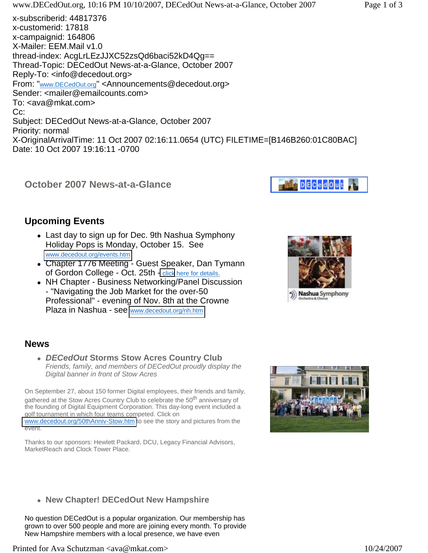

# **Upcoming Events**

- Last day to sign up for Dec. 9th Nashua Symphony Holiday Pops is Monday, October 15. See [www.decedout.org/events.htm](http://www.decedout.org/events.htm)
- Chapter 1776 Meeting Guest Speaker, Dan Tymann of Gordon College - Oct. 25th [- click](http://www.decedout.org/events.htm) here for details.
- NH Chapter Business Networking/Panel Discussion - "Navigating the Job Market for the over-50 Professional" - evening of Nov. 8th at the Crowne Plaza in Nashua - see [www.decedout.org/nh.htm](http://www.decedout.org/nh.htm)



## **News**

<sup>z</sup> *DECedOut* **Storms Stow Acres Country Club** *Friends, family, and members of DECedOut proudly display the Digital banner in front of Stow Acres*

On September 27, about 150 former Digital employees, their friends and family, gathered at the Stow Acres Country Club to celebrate the 50<sup>th</sup> anniversary of the founding of Digital Equipment Corporation. This day-long event included a golf tournament in which four teams competed. Click on [www.decedout.org/50thAnniv-Stow.htm](http://www.decedout.org/50thAnniv-Stow.htm) to see the story and pictures from the event.

Thanks to our sponsors: Hewlett Packard, DCU, Legacy Financial Advisors, MarketReach and Clock Tower Place.



**• New Chapter! DECedOut New Hampshire** 

No question DECedOut is a popular organization. Our membership has grown to over 500 people and more are joining every month. To provide New Hampshire members with a local presence, we have even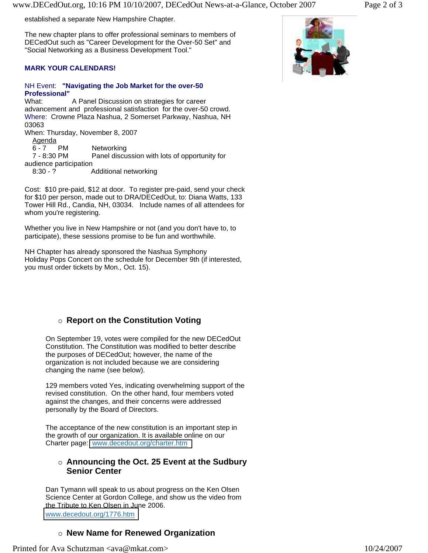established a separate New Hampshire Chapter.

The new chapter plans to offer professional seminars to members of DECedOut such as "Career Development for the Over-50 Set" and "Social Networking as a Business Development Tool."

#### **MARK YOUR CALENDARS!**

### NH Event: **"Navigating the Job Market for the over-50 Professional"**

What: A Panel Discussion on strategies for career advancement and professional satisfaction for the over-50 crowd. Where: Crowne Plaza Nashua, 2 Somerset Parkway, Nashua, NH 03063 When: Thursday, November 8, 2007 Agenda<br>6 - 7 PM Networking 7 - 8:30 PM Panel discussion with lots of opportunity for audience participation 8:30 - ? Additional networking

Cost: \$10 pre-paid, \$12 at door. To register pre-paid, send your check for \$10 per person, made out to DRA/DECedOut, to: Diana Watts, 133 Tower Hill Rd., Candia, NH, 03034. Include names of all attendees for whom you're registering.

Whether you live in New Hampshire or not (and you don't have to, to participate), these sessions promise to be fun and worthwhile.

NH Chapter has already sponsored the Nashua Symphony Holiday Pops Concert on the schedule for December 9th (if interested, you must order tickets by Mon., Oct. 15).

## { **Report on the Constitution Voting**

On September 19, votes were compiled for the new DECedOut Constitution. The Constitution was modified to better describe the purposes of DECedOut; however, the name of the organization is not included because we are considering changing the name (see below).

129 members voted Yes, indicating overwhelming support of the revised constitution. On the other hand, four members voted against the changes, and their concerns were addressed personally by the Board of Directors.

The acceptance of the new constitution is an important step in the growth of our organization. It is available online on our Charter page: [www.decedout.org/charter.htm](http://www.decedout.org/charter.htm)

#### { **Announcing the Oct. 25 Event at the Sudbury Senior Center**

Dan Tymann will speak to us about progress on the Ken Olsen Science Center at Gordon College, and show us the video from the Tribute to Ken Olsen in June 2006. [www.decedout.org/1776.htm](http://www.decedout.org/1776.htm) 

#### { **New Name for Renewed Organization**